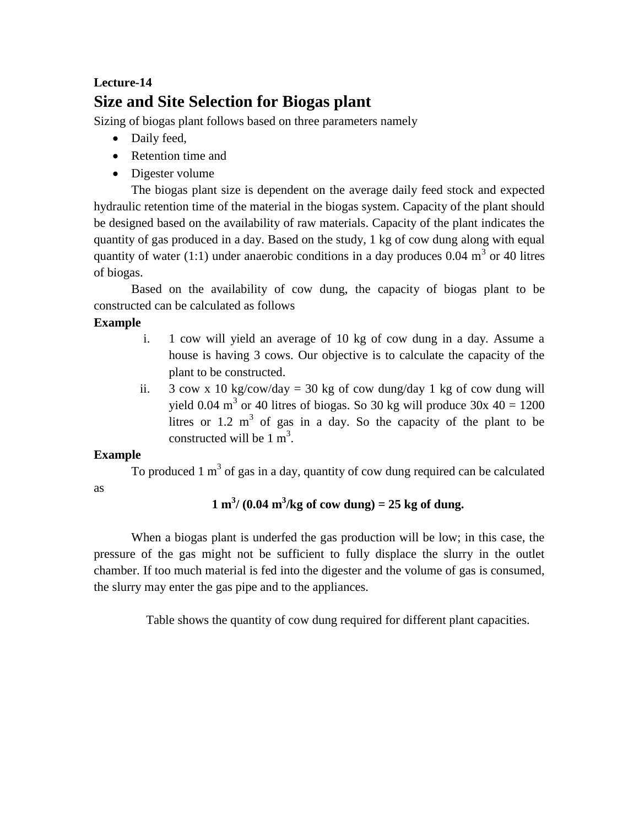# **Lecture-14 Size and Site Selection for Biogas plant**

Sizing of biogas plant follows based on three parameters namely

- Daily feed,
- Retention time and
- Digester volume

The biogas plant size is dependent on the average daily feed stock and expected hydraulic retention time of the material in the biogas system. Capacity of the plant should be designed based on the availability of raw materials. Capacity of the plant indicates the quantity of gas produced in a day. Based on the study, 1 kg of cow dung along with equal quantity of water (1:1) under anaerobic conditions in a day produces  $0.04 \text{ m}^3$  or 40 litres of biogas.

Based on the availability of cow dung, the capacity of biogas plant to be constructed can be calculated as follows

## **Example**

- i. 1 cow will yield an average of 10 kg of cow dung in a day. Assume a house is having 3 cows. Our objective is to calculate the capacity of the plant to be constructed.
- ii.  $3 \text{ cow } x 10 \text{ kg/cow/day} = 30 \text{ kg of cow dung/day} 1 \text{ kg of cow dung will}$ yield 0.04 m<sup>3</sup> or 40 litres of biogas. So 30 kg will produce  $30x$  40 = 1200 litres or  $1.2 \text{ m}^3$  of gas in a day. So the capacity of the plant to be constructed will be  $1 \text{ m}^3$ .

### **Example**

as

To produced 1  $m<sup>3</sup>$  of gas in a day, quantity of cow dung required can be calculated

## $1 \text{ m}^3 / (0.04 \text{ m}^3/\text{kg of cow dung}) = 25 \text{ kg of dung}.$

When a biogas plant is underfed the gas production will be low; in this case, the pressure of the gas might not be sufficient to fully displace the slurry in the outlet chamber. If too much material is fed into the digester and the volume of gas is consumed, the slurry may enter the gas pipe and to the appliances.

Table shows the quantity of cow dung required for different plant capacities.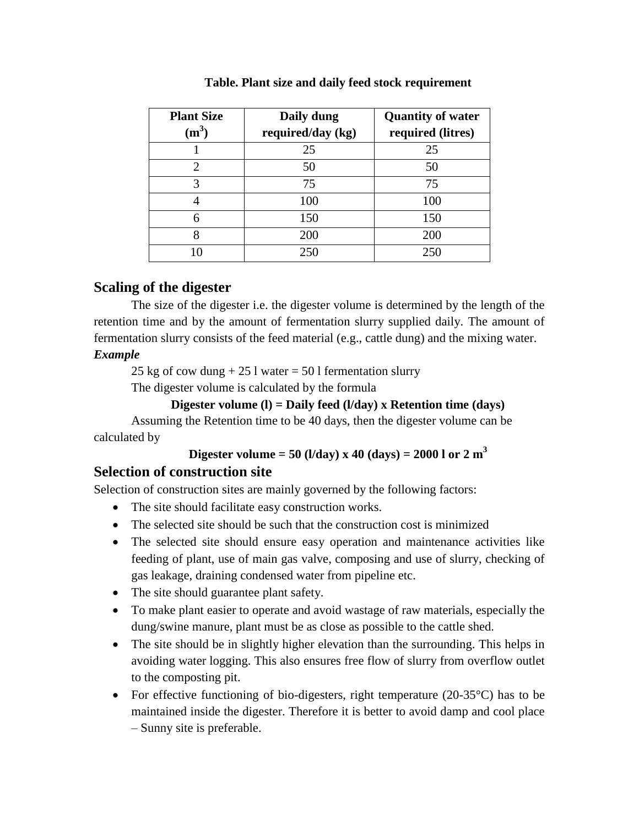| <b>Plant Size</b><br>$(m^3)$ | Daily dung<br>required/day (kg) | <b>Quantity of water</b><br>required (litres) |
|------------------------------|---------------------------------|-----------------------------------------------|
|                              | 25                              | 25                                            |
| $\mathcal{D}_{\cdot}$        | 50                              | 50                                            |
| 3                            | 75                              | 75                                            |
|                              | 100                             | 100                                           |
| 6                            | 150                             | 150                                           |
| 8                            | 200                             | 200                                           |
|                              | 250                             | 250                                           |

#### **Table. Plant size and daily feed stock requirement**

### **Scaling of the digester**

The size of the digester i.e. the digester volume is determined by the length of the retention time and by the amount of fermentation slurry supplied daily. The amount of fermentation slurry consists of the feed material (e.g., cattle dung) and the mixing water.

#### *Example*

25 kg of cow dung  $+ 25$  l water  $= 50$  l fermentation slurry

The digester volume is calculated by the formula

#### **Digester volume (l) = Daily feed (l/day) x Retention time (days)**

Assuming the Retention time to be 40 days, then the digester volume can be calculated by

### **Digester volume = 50 (l/day) x 40 (days) = 2000 l or 2 m<sup>3</sup>**

### **Selection of construction site**

Selection of construction sites are mainly governed by the following factors:

- The site should facilitate easy construction works.
- The selected site should be such that the construction cost is minimized
- The selected site should ensure easy operation and maintenance activities like feeding of plant, use of main gas valve, composing and use of slurry, checking of gas leakage, draining condensed water from pipeline etc.
- The site should guarantee plant safety.
- To make plant easier to operate and avoid wastage of raw materials, especially the dung/swine manure, plant must be as close as possible to the cattle shed.
- The site should be in slightly higher elevation than the surrounding. This helps in avoiding water logging. This also ensures free flow of slurry from overflow outlet to the composting pit.
- For effective functioning of bio-digesters, right temperature (20-35 °C) has to be maintained inside the digester. Therefore it is better to avoid damp and cool place – Sunny site is preferable.